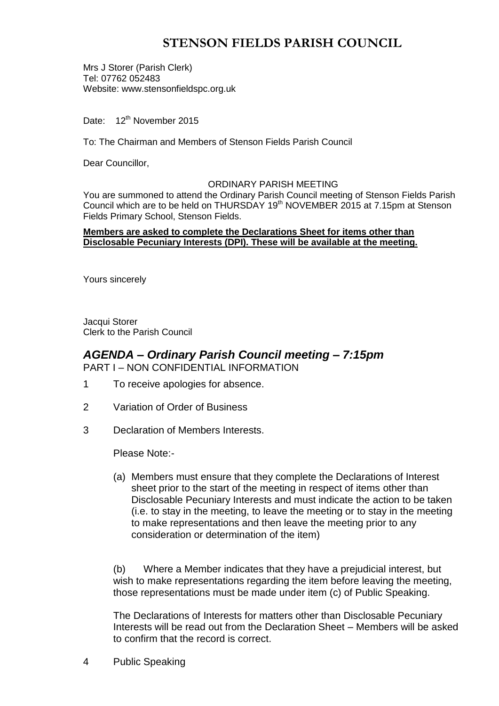# **STENSON FIELDS PARISH COUNCIL**

Mrs J Storer (Parish Clerk) Tel: 07762 052483 Website: www.stensonfieldspc.org.uk

Date: 12<sup>th</sup> November 2015

To: The Chairman and Members of Stenson Fields Parish Council

Dear Councillor,

#### ORDINARY PARISH MEETING

You are summoned to attend the Ordinary Parish Council meeting of Stenson Fields Parish Council which are to be held on THURSDAY 19<sup>th</sup> NOVEMBER 2015 at 7.15pm at Stenson Fields Primary School, Stenson Fields.

#### **Members are asked to complete the Declarations Sheet for items other than Disclosable Pecuniary Interests (DPI). These will be available at the meeting.**

Yours sincerely

Jacqui Storer Clerk to the Parish Council

### *AGENDA – Ordinary Parish Council meeting – 7:15pm* PART I – NON CONFIDENTIAL INFORMATION

- 1 To receive apologies for absence.
- 2 Variation of Order of Business
- 3 Declaration of Members Interests.

Please Note:-

(a) Members must ensure that they complete the Declarations of Interest sheet prior to the start of the meeting in respect of items other than Disclosable Pecuniary Interests and must indicate the action to be taken (i.e. to stay in the meeting, to leave the meeting or to stay in the meeting to make representations and then leave the meeting prior to any consideration or determination of the item)

(b) Where a Member indicates that they have a prejudicial interest, but wish to make representations regarding the item before leaving the meeting, those representations must be made under item (c) of Public Speaking.

The Declarations of Interests for matters other than Disclosable Pecuniary Interests will be read out from the Declaration Sheet – Members will be asked to confirm that the record is correct.

4 Public Speaking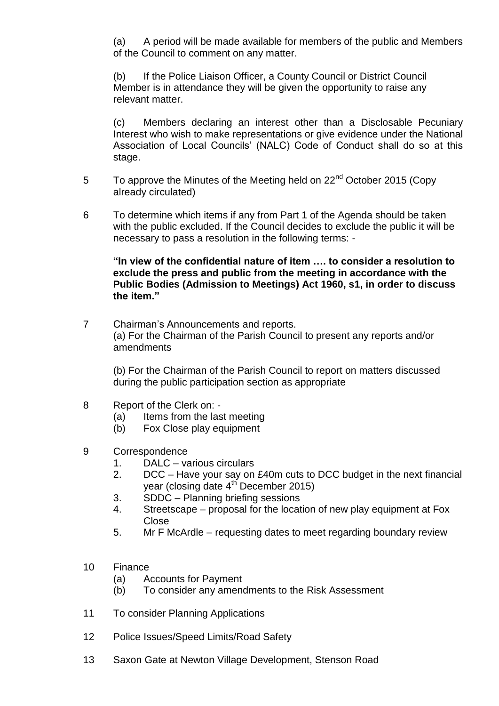(a) A period will be made available for members of the public and Members of the Council to comment on any matter.

(b) If the Police Liaison Officer, a County Council or District Council Member is in attendance they will be given the opportunity to raise any relevant matter.

(c) Members declaring an interest other than a Disclosable Pecuniary Interest who wish to make representations or give evidence under the National Association of Local Councils' (NALC) Code of Conduct shall do so at this stage.

- 5 To approve the Minutes of the Meeting held on 22<sup>nd</sup> October 2015 (Copy already circulated)
- 6 To determine which items if any from Part 1 of the Agenda should be taken with the public excluded. If the Council decides to exclude the public it will be necessary to pass a resolution in the following terms: -

**"In view of the confidential nature of item …. to consider a resolution to exclude the press and public from the meeting in accordance with the Public Bodies (Admission to Meetings) Act 1960, s1, in order to discuss the item."** 

7 Chairman's Announcements and reports. (a) For the Chairman of the Parish Council to present any reports and/or amendments

(b) For the Chairman of the Parish Council to report on matters discussed during the public participation section as appropriate

- 8 Report of the Clerk on:
	- (a) Items from the last meeting
	- (b) Fox Close play equipment
- 9 Correspondence
	- 1. DALC various circulars
	- 2. DCC Have your say on £40m cuts to DCC budget in the next financial year (closing date  $4<sup>th</sup>$  December 2015)
	- 3. SDDC Planning briefing sessions
	- 4. Streetscape proposal for the location of new play equipment at Fox Close
	- 5. Mr F McArdle requesting dates to meet regarding boundary review
- 10 Finance
	- (a) Accounts for Payment
	- (b) To consider any amendments to the Risk Assessment
- 11 To consider Planning Applications
- 12 Police Issues/Speed Limits/Road Safety
- 13 Saxon Gate at Newton Village Development, Stenson Road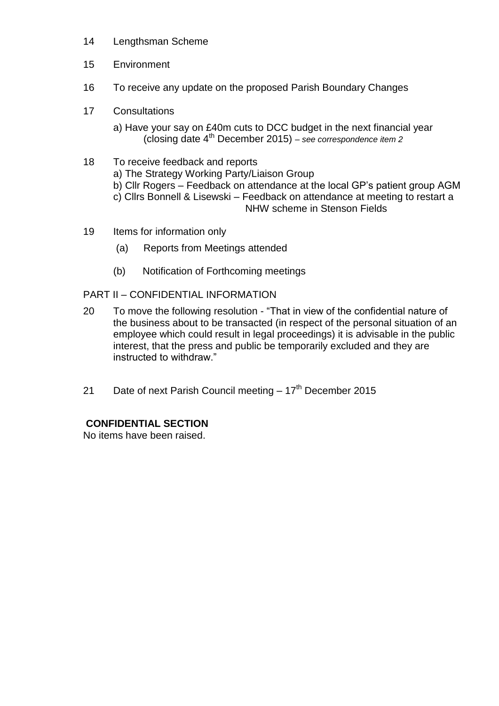- 14 Lengthsman Scheme
- 15 Environment
- 16 To receive any update on the proposed Parish Boundary Changes
- 17 Consultations
	- a) Have your say on £40m cuts to DCC budget in the next financial year (closing date 4th December 2015) *– see correspondence item 2*
- 18 To receive feedback and reports a) The Strategy Working Party/Liaison Group b) Cllr Rogers – Feedback on attendance at the local GP's patient group AGM c) Cllrs Bonnell & Lisewski – Feedback on attendance at meeting to restart a NHW scheme in Stenson Fields
- 19 Items for information only
	- (a) Reports from Meetings attended
	- (b) Notification of Forthcoming meetings

PART II – CONFIDENTIAL INFORMATION

- 20 To move the following resolution "That in view of the confidential nature of the business about to be transacted (in respect of the personal situation of an employee which could result in legal proceedings) it is advisable in the public interest, that the press and public be temporarily excluded and they are instructed to withdraw."
- 21 Date of next Parish Council meeting  $-17<sup>th</sup>$  December 2015

# **CONFIDENTIAL SECTION**

No items have been raised.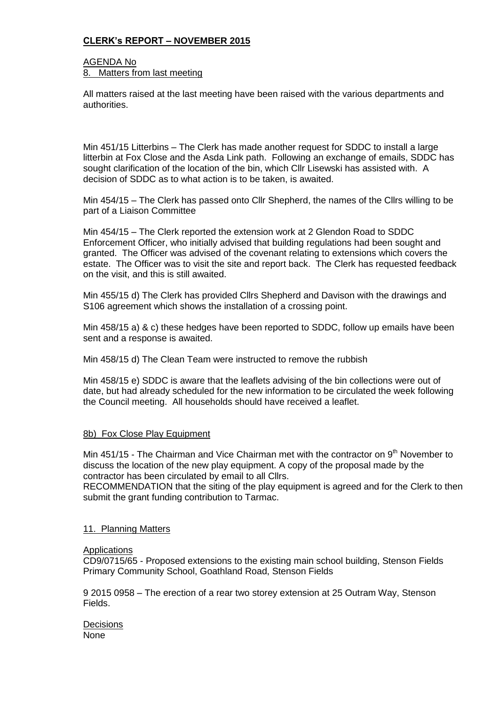## **CLERK's REPORT – NOVEMBER 2015**

#### AGENDA No 8. Matters from last meeting

All matters raised at the last meeting have been raised with the various departments and authorities.

Min 451/15 Litterbins – The Clerk has made another request for SDDC to install a large litterbin at Fox Close and the Asda Link path. Following an exchange of emails, SDDC has sought clarification of the location of the bin, which Cllr Lisewski has assisted with. A decision of SDDC as to what action is to be taken, is awaited.

Min 454/15 – The Clerk has passed onto Cllr Shepherd, the names of the Cllrs willing to be part of a Liaison Committee

Min 454/15 – The Clerk reported the extension work at 2 Glendon Road to SDDC Enforcement Officer, who initially advised that building regulations had been sought and granted. The Officer was advised of the covenant relating to extensions which covers the estate. The Officer was to visit the site and report back. The Clerk has requested feedback on the visit, and this is still awaited.

Min 455/15 d) The Clerk has provided Cllrs Shepherd and Davison with the drawings and S106 agreement which shows the installation of a crossing point.

Min 458/15 a) & c) these hedges have been reported to SDDC, follow up emails have been sent and a response is awaited.

Min 458/15 d) The Clean Team were instructed to remove the rubbish

Min 458/15 e) SDDC is aware that the leaflets advising of the bin collections were out of date, but had already scheduled for the new information to be circulated the week following the Council meeting. All households should have received a leaflet.

#### 8b) Fox Close Play Equipment

Min  $451/15$  - The Chairman and Vice Chairman met with the contractor on  $9<sup>th</sup>$  November to discuss the location of the new play equipment. A copy of the proposal made by the contractor has been circulated by email to all Cllrs.

RECOMMENDATION that the siting of the play equipment is agreed and for the Clerk to then submit the grant funding contribution to Tarmac.

#### 11. Planning Matters

#### **Applications**

CD9/0715/65 - Proposed extensions to the existing main school building, Stenson Fields Primary Community School, Goathland Road, Stenson Fields

9 2015 0958 – The erection of a rear two storey extension at 25 Outram Way, Stenson Fields.

**Decisions** None